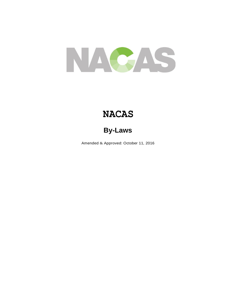

# **NACAS**

## **By-Laws**

Amended & Approved: October 11, 2016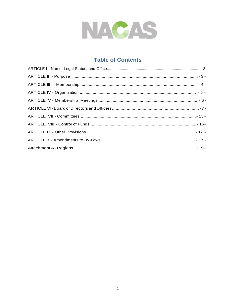

## **Table of Contents**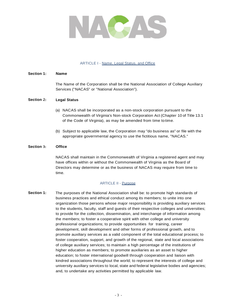

### ARTICLE I - Name, Legal Status, and Office

#### **Section 1: Name**

The Name of the Corporation shall be the National Association of College Auxiliary Services ("NACAS" or "National Association").

#### **Section 2: Legal Status**

- (a) NACAS shall be incorporated as a non-stock corporation pursuant to the Commonwealth of Virginia's Non-stock Corporation Act (Chapter 10 of Title 13.1 of the Code of Virginia), as may be amended from time to time.
- (b) Subject to applicable law, the Corporation may "do business as" or file with the appropriate governmental agency to use the fictitious name, "NACAS."

#### **Section 3: Office**

NACAS shall maintain in the Commonwealth of Virginia a registered agent and may have offices within or without the Commonwealth of Virginia as the Board of Directors may determine or as the business of NACAS may require from time to time.

### ARTICLE II - Purpose

**Section 1:** The purposes of the National Association shall be: to promote high standards of business practices and ethical conduct among its members; to unite into one organization those persons whose major responsibility is providing auxiliary services to the students, faculty, staff and guests of their respective colleges and universities; to provide for the collection, dissemination, and interchange of information among the members; to foster a cooperative spirit with other college and university professional organizations; to provide opportunities for training, career development, skill development and other forms of professional growth, and to promote auxiliary services as a valid component of the total educational process; to foster cooperation, support, and growth of the regional, state and local associations of college auxiliary services; to maintain a high percentage of the institutions of higher education as members; to promote auxiliaries as an asset to higher education; to foster international goodwill through cooperation and liaison with kindred associations throughout the world; to represent the interests of college and university auxiliary services to local, state and federal legislative bodies and agencies; and, to undertake any activities permitted by applicable law.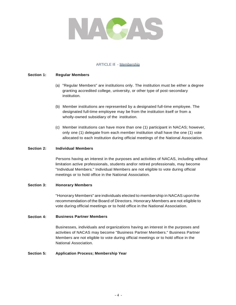

### ARTICLE Ill - Membership

#### **Section 1: Regular Members**

- (a) "Regular Members" are institutions only. The institution must be either a degree granting accredited college, university, or other type of post-secondary institution.
- (b) Member institutions are represented by a designated full-time employee. The designated full-time employee may be from the institution itself or from a wholly-owned subsidiary of the institution.
- (c) Member institutions can have more than one (1) participant in NACAS; however, only one (1) delegate from each member institution shall have the one (1) vote allocated to each institution during official meetings of the National Association.

#### **Section 2: Individual Members**

Persons having an interest in the purposes and activities of NACAS, including without limitation active professionals, students and/or retired professionals, may become "Individual Members." Individual Members are not eligible to vote during official meetings or to hold office in the National Association.

#### **Section 3: Honorary Members**

"Honorary Members" are individuals elected to membership in NACAS upon the recommendation of the Board of Directors. Honorary Members are not eligible to vote during official meetings or to hold office in the National Association.

#### **Section 4: Business Partner Members**

Businesses, individuals and organizations having an interest in the purposes and activities of NACAS may become "Business Partner Members." Business Partner Members are not eligible to vote during official meetings or to hold office in the National Association.

#### **Section 5: Application Process; Membership Year**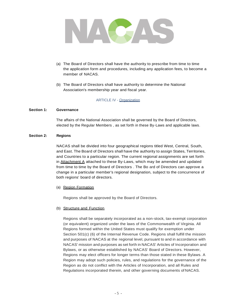

- (a) The Board of Directors shall have the authority to prescribe from time to time the application form and procedures, including any application fees, to become a member of NACAS.
- (b) The Board of Directors shall have authority to determine the National Association's membership year and fiscal year.

ARTICLE IV - Organization

#### **Section 1: Governance**

The affairs of the National Association shall be governed by the Board of Directors, elected by the Regular Members , as set forth in these By-Laws and applicable laws.

#### **Section 2: Regions**

NACAS shall be divided into four geographical regions titled West, Central, South, and East. The Board of Directors shall have the authority to assign States, Territories, and Countries to a particular region. The current regional assignments are set forth in Attachment A attached to these By-Laws, which may be amended and updated from time to time by the Board of Directors . The Bo ard of Directors can approve a change in a particular member's regional designation, subject to the concurrence of both regions' board of directors.

(a) Region Formation

Regions shall be approved by the Board of Directors.

(b) Structure and Function

Regions shall be separately incorporated as a non-stock, tax-exempt corporation (or equivalent) organized under the laws of the Commonwealth of Virginia. All Regions formed within the United States must qualify for exemption under Section 501(c) (6) of the Internal Revenue Code. Regions shall fulfill the mission and purposes of NACAS at the regional level, pursuant to and in accordance with NACAS' mission and purposes as set forth in NACAS' Articles of Incorporation and Bylaws, or as otherwise established by NACAS' Board of Directors. However, Regions may elect officers for longer terms than those stated in these Bylaws. A Region may adopt such policies, rules, and regulations for the governance of the Region as do not conflict with the Articles of Incorporation, and all Rules and Regulations incorporated therein, and other governing documents of NACAS.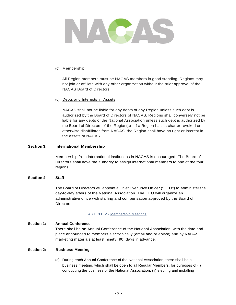

### (c) Membership

All Region members must be NACAS members in good standing. Regions may not join or affiliate with any other organization without the prior approval of the NACAS Board of Directors.

### (d) Debts and Interests in Assets

NACAS shall not be liable for any debts of any Region unless such debt is authorized by the Board of Directors of NACAS. Regions shall conversely not be liable for any debts of the National Association unless such debt is authorized by the Board of Directors of the Region(s) . If a Region has its charter revoked or otherwise disaffiliates from NACAS, the Region shall have no right or interest in the assets of NACAS.

### **Section 3: International Membership**

Membership from international institutions in NACAS is encouraged. The Board of Directors shall have the authority to assign international members to one of the four regions.

### **Section 4: Staff**

The Board of Directors will appoint a Chief Executive Officer ("CEO") to administer the day-to-day affairs of the National Association. The CEO will organize an administrative office with staffing and compensation approved by the Board of Directors.

### ARTICLE V - Membership Meetings

#### **Section 1: Annual Conference**

There shall be an Annual Conference of the National Association, with the time and place announced to members electronically (email and/or eblast) and by NACAS marketing materials at least ninety (90) days in advance.

#### **Section 2: Business Meeting**

(a) During each Annual Conference of the National Association, there shall be a business meeting, which shall be open to all Regular Members, for purposes of (i) conducting the business of the National Association; (ii) electing and installing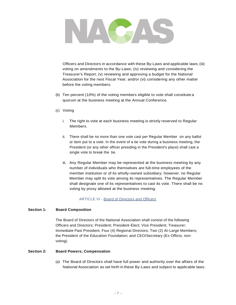

Officers and Directors in accordance with these By-Laws and applicable laws; (iii) voting on amendments to the By-Laws; (iv) reviewing and considering the Treasurer's Report; (v) reviewing and approving a budget for the National Association for the next Fiscal Year; and/or (vi) considering any other matter before the voting members.

- (b) Ten percent (10%) of the voting members eligible to vote shall constitute a quorum at the business meeting at the Annual Conference.
- (c) Voting
	- i. The right to vote at each business meeting is strictly reserved to Regular Members.
	- ii. There shall be no more than one vote cast per Regular Member on any ballot or item put to a vote. In the event of a tie vote during a business meeting, the President (or any other officer presiding in the President's place) shall cast a single vote to break the tie.
	- iii. Any Regular Member may be represented at the business meeting by any number of individuals who themselves are full-time employees of the member institution or of its wholly-owned subsidiary; however, no Regular Member may split its vote among its representatives. The Regular Member shall designate one of its representatives to cast its vote. There shall be no voting by proxy allowed at the business meeting.

ARTICLE VI - Board of Directors and Officers

#### **Section 1: Board Composition**

The Board of Directors of the National Association shall consist of the following Officers and Directors: President; President-Elect; Vice President; Treasurer; Immediate Past President; Four (4) Regional Directors; Two (2) At-Large Members; the President of the Education Foundation; and CEO/Secretary (Ex-Officio, nonvoting).

#### **Section 2: Board Powers; Compensation**

(a) The Board of Directors shall have full power and authority over the affairs of the National Association as set forth in these By-Laws and subject to applicable laws.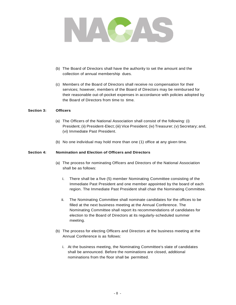

- (b) The Board of Directors shall have the authority to set the amount and the collection of annual membership dues.
- (c) Members of the Board of Directors shall receive no compensation for their services; however, members of the Board of Directors may be reimbursed for their reasonable out-of-pocket expenses in accordance with policies adopted by the Board of Directors from time to time.

#### **Section 3: Officers**

- (a) The Officers of the National Association shall consist of the following: (i) President; (ii) President-Elect; (iii) Vice President; (iv) Treasurer; (v) Secretary; and, (vi) Immediate Past President.
- (b) No one individual may hold more than one (1) office at any given time.

#### **Section 4: Nomination and Election of Officers and Directors**

- (a) The process for nominating Officers and Directors of the National Association shall be as follows:
	- i. There shall be a five (5) member Nominating Committee consisting of the Immediate Past President and one member appointed by the board of each region. The Immediate Past President shall chair the Nominating Committee.
	- ii. The Nominating Committee shall nominate candidates for the offices to be filled at the next business meeting at the Annual Conference. The Nominating Committee shall report its recommendations of candidates for election to the Board of Directors at its regularly-scheduled summer meeting.
- (b) The process for electing Officers and Directors at the business meeting at the Annual Conference is as follows:
	- i. At the business meeting, the Nominating Committee's slate of candidates shall be announced. Before the nominations are closed, additional nominations from the floor shall be permitted.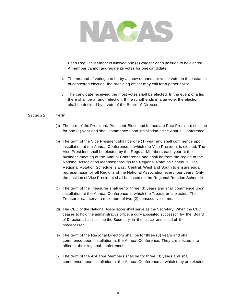

- ii. Each Regular Member is allowed one (1) vote for each position to be elected. A member cannot aggregate its votes for one candidate.
- iii. The method of voting can be by a show of hands or voice vote. In the instance of contested election, the presiding officer may call for a paper ballot.
- iv. The candidate receiving the most votes shall be elected. In the event of a tie, there shall be a runoff election. If the runoff ends in a tie vote, the election shall be decided by a vote of the Board of Directors.

### **Section 5: Term**

- (a) The term of the President, President-Elect, and Immediate Past President shall be for one (1) year and shall commence upon installation at the Annual Conference.
- (b) The term of the Vice President shall be one (1) year and shall commence upon installation at the Annual Conference at which the Vice President is elected. The Vice President shall be elected by the Regular Members each year at the business meeting at the Annual Conference and shall be from the region of the National Association identified through the Regional Rotation Schedule. The Regional Rotation Schedule is East, Central, West and South to ensure equal representation by all Regions of the National Association every four years. Only the position of Vice President shall be based on the Regional Rotation Schedule.
- (c) The term of the Treasurer shall be for three (3) years and shall commence upon installation at the Annual Conference at which the Treasurer is elected. The Treasurer can serve a maximum of two (2) consecutive terms.
- (d) The CEO of the National Association shall serve as the Secretary. When the CEO ceases to hold the administrative office, a duly-appointed successor by the Board of Directors shall become the Secretary in the place and stead of the predecessor.
- (e) The term of the Regional Directors shall be for three (3) years and shall commence upon installation at the Annual Conference. They are elected into office at their regional conferences.
- (f) The term of the At-Large Members shall be for three (3) years and shall commence upon installation at the Annual Conference at which they are elected.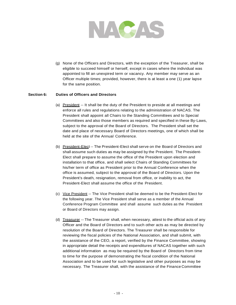

(g) None of the Officers and Directors, with the exception of the Treasurer, shall be eligible to succeed himself or herself, except in cases where the individual was appointed to fill an unexpired term or vacancy. Any member may serve as an Officer multiple times; provided, however, there is at least a one (1) year lapse for the same position.

### **Section 6: Duties of Officers and Directors**

- (a) President -- It shall be the duty of the President to preside at all meetings and enforce all rules and regulations relating to the administration of NACAS. The President shall appoint all Chairs to the Standing Committees and to Special Committees and also those members as required and specified in these By-Laws, subject to the approval of the Board of Directors. The President shall set the date and place of necessary Board of Directors meetings, one of which shall be held at the site of the Annual Conference.
- (b) President-Elect -- The President-Elect shall serve on the Board of Directors and shall assume such duties as may be assigned by the President. The President-Elect shall prepare to assume the office of the President upon election and installation to that office, and shall select Chairs of Standing Committees for his/her term of office as President prior to the Annual Conference when the office is assumed, subject to the approval of the Board of Directors. Upon the President's death, resignation, removal from office, or inability to act, the President-Elect shall assume the office of the President.
- (c) Vice President -- The Vice President shall be deemed to be the President-Elect for the following year. The Vice President shall serve as a member of the Annual Conference Program Committee and shall assume such duties as the President or Board of Directors may assign.
- (d) Treasurer -- The Treasurer shall, when necessary, attest to the official acts of any Officer and the Board of Directors and to such other acts as may be directed by resolution of the Board of Directors. The Treasurer shall be responsible for reviewing the fiscal policies of the National Association, and shall submit, with the assistance of the CEO, a report, verified by the Finance Committee, showing in appropriate detail the receipts and expenditures of NACAS together with such additional information as may be required by the Board of Directors from time to time for the purpose of demonstrating the fiscal condition of the National Association and to be used for such legislative and other purposes as may be necessary. The Treasurer shall, with the assistance of the Finance Committee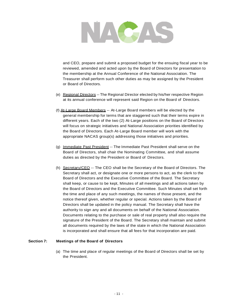

and CEO, prepare and submit a proposed budget for the ensuing fiscal year to be reviewed, amended and acted upon by the Board of Directors for presentation to the membership at the Annual Conference of the National Association. The Treasurer shall perform such other duties as may be assigned by the President or Board of Directors.

- (e) Regional Directors -- The Regional Director elected by his/her respective Region at its annual conference will represent said Region on the Board of Directors.
- (f} At-Large Board Members -- At-Large Board members will be elected by the general membership for terms that are staggered such that their terms expire in different years. Each of the two (2) At-Large positions on the Board of Directors will focus on strategic initiatives and National Association priorities identified by the Board of Directors. Each At-Large Board member will work with the appropriate NACAS group(s) addressing those initiatives and priorities.
- (g) Immediate Past President -- The Immediate Past President shall serve on the Board of Directors, shall chair the Nominating Committee, and shall assume duties as directed by the President or Board of Directors.
- (h) Secretary/CEO -- The CEO shall be the Secretary of the Board of Directors. The Secretary shall act, or designate one or more persons to act, as the clerk to the Board of Directors and the Executive Committee of the Board. The Secretary shall keep, or cause to be kept, Minutes of all meetings and all actions taken by the Board of Directors and the Executive Committee. Such Minutes shall set forth the time and place of any such meetings, the names of those present, and the notice thereof given, whether regular or special. Actions taken by the Board of Directors shall be updated in the policy manual. The Secretary shall have the authority to sign any and all documents on behalf of the National Association. Documents relating to the purchase or sale of real property shall also require the signature of the President of the Board. The Secretary shall maintain and submit all documents required by the laws of the state in which the National Association is incorporated and shall ensure that all fees for that incorporation are paid.

### **Section 7: Meetings of the Board of Directors**

(a) The time and place of regular meetings of the Board of Directors shall be set by the President.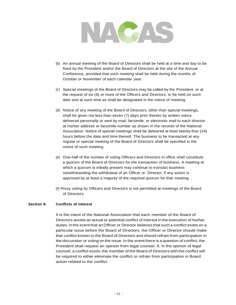

- (b) An annual meeting of the Board of Directors shall be held at a time and day to be fixed by the President and/or the Board of Directors at the site of the Annual Conference, provided that such meeting shall be held during the months of October or November of each calendar year.
- (c) Special meetings of the Board of Directors may be called by the President, or at the request of six (6) or more of the Officers and Directors, to be held on such date and at such time as shall be designated in the notice of meeting.
- (d) Notice of any meeting of the Board of Directors, other than special meetings, shall be given not less than seven (7) days prior thereto by written notice delivered personally or sent by mail, facsimile, or electronic mail to each director at his/her address or facsimile number as shown in the records of the National Association. Notice of special meetings shall be delivered at least twenty-four (24) hours before the date and time thereof. The business to be transacted at any regular or special meeting of the Board of Directors shall be specified in the notice of such meeting.
- (e) One-half of the number of voting Officers and Directors in office shall constitute a quorum of the Board of Directors for the transaction of business. A meeting at which a quorum is initially present may continue to transact business notwithstanding the withdrawal of an Officer or Director, if any action is approved by at least a majority of the required quorum for that meeting.
- (f} Proxy voting by Officers and Directors is not permitted at meetings of the Board of Directors.

### **Section 8: Conflicts of Interest**

It is the intent of the National Association that each member of the Board of Directors avoids an actual or potential conflict of interest in the execution of his/her duties. Inthe event that anOfficer or Director believes that such a conflict exists on a particular issue before the Board of Directors, the Officer or Director should make that conflict known to the Board of Directors and should refrain from participation in the discussion or voting on the issue. In the event there is a question of conflict, the President shall request an opinion from legal counsel. If, in the opinion of legal counsel, a conflict exists, the member of the Board of Directors with the conflict will be required to either eliminate the conflict or refrain from participation in Board action related to the conflict.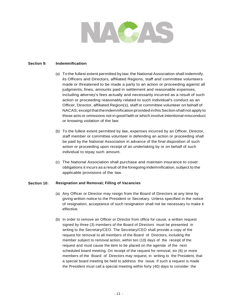

#### **Section 9: Indemnification**

- (a) To the fullest extent permitted by law, the National Association shall indemnify its Officers and Directors, affiliated Regions, staff and committee volunteers made or threatened to be made a party to an action or proceeding against all judgments, fines, amounts paid in settlement and reasonable expenses, including attorney's fees actually and necessarily incurred as a result of such action or proceeding reasonably related to such individual's conduct as an Officer, Director, affiliated Region(s), staff or committee volunteer on behalf of NACAS; except thattheindemnification provided inthisSection shallnot apply to those acts or omissions not in good faith or which involve intentional misconduct or knowing violation of the law.
- (b) To the fullest extent permitted by law, expenses incurred by an Officer, Director, staff member or committee volunteer in defending an action or proceeding shall be paid by the National Association in advance of the final disposition of such action or proceeding upon receipt of an undertaking by or on behalf of such individual to repay such amount.
- (c) The National Association shall purchase and maintain insurance to cover obligations it incurs as a result of the foregoing indemnification, subject to the applicable provisions of the law.

#### **Section 10: Resignation and Removal; Filling of Vacancies**

- (a) Any Officer or Director may resign from the Board of Directors at any time by giving written notice to the President or Secretary. Unless specified in the notice of resignation, acceptance of such resignation shall not be necessary to make it effective.
- (b) In order to remove an Officer or Director from office for cause, a written request signed by three (3) members of the Board of Directors must be presented in writing to the Secretary/CEO. The Secretary/CEO shall provide a copy of the request for removal to all members of the Board of Directors, including the member subject to removal action, within ten (10) days of the receipt of the request and must cause the item to be placed on the agenda of the next scheduled board meeting. On receipt of the request for removal, six (6) or more members of the Board of Directors may request, in writing to the President, that a special board meeting be held to address the issue. If such a request is made the President must call a special meeting within forty (40) days to consider the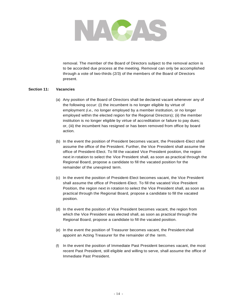

removal. The member of the Board of Directors subject to the removal action is to be accorded due process at the meeting. Removal can only be accomplished through a vote of two-thirds (2/3) of the members of the Board of Directors present.

### **Section 11: Vacancies**

- (a) Any position of the Board of Directors shall be declared vacant whenever any of the following occur: (i) the incumbent is no longer eligible by virtue of employment *(i.e.,* no longer employed by a member institution, or no longer employed within the elected region for the Regional Directors); (ii) the member institution is no longer eligible by virtue of accreditation or failure to pay dues; or, (iii) the incumbent has resigned or has been removed from office by board action.
- (b) In the event the position of President becomes vacant, the President-Elect shall assume the office of the President. Further, the Vice President shall assume the office of President-Elect. To fill the vacated Vice President position, the region next in rotation to select the Vice President shall, as soon as practical through the Regional Board, propose a candidate to fill the vacated position for the remainder of the unexpired term.
- (c) In the event the position of President-Elect becomes vacant, the Vice President shall assume the office of President-Elect. To fill the vacated Vice President Position, the region next in rotation to select the Vice President shall, as soon as practical through the Regional Board, propose a candidate to fill the vacated position.
- (d) In the event the position of Vice President becomes vacant, the region from which the Vice President was elected shall, as soon as practical through the Regional Board, propose a candidate to fill the vacated position.
- (e) In the event the position of Treasurer becomes vacant, the President shall appoint an Acting Treasurer for the remainder of the term.
- (f) In the event the position of Immediate Past President becomes vacant, the most recent Past President, still eligible and willing to serve, shall assume the office of Immediate Past President.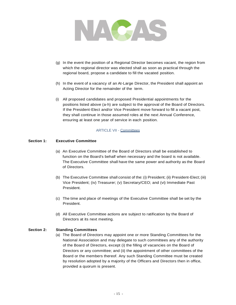

- (g) In the event the position of a Regional Director becomes vacant, the region from which the regional director was elected shall as soon as practical through the regional board, propose a candidate to fill the vacated position.
- (h) In the event of a vacancy of an At-Large Director, the President shall appoint an Acting Director for the remainder of the term.
- (i) All proposed candidates and proposed Presidential appointments for the positions listed above (a-h) are subject to the approval of the Board of Directors. If the President-Elect and/or Vice President move forward to fill a vacant post, they shall continue in those assumed roles at the next Annual Conference, ensuring at least one year of service in each position.

### ARTICLE VII - Committees

#### **Section 1: Executive Committee**

- (a) An Executive Committee of the Board of Directors shall be established to function on the Board's behalf when necessary and the board is not available. The Executive Committee shall have the same power and authority as the Board of Directors.
- (b) The Executive Committee shall consist of the: (i) President; (ii) President-Elect; (iii) Vice President; (iv) Treasurer; (v) Secretary/CEO; and (vi) Immediate Past President.
- (c) The time and place of meetings of the Executive Committee shall be set by the President.
- (d) All Executive Committee actions are subject to ratification by the Board of Directors at its next meeting.

#### **Section 2: Standing Committees**

(a) The Board of Directors may appoint one or more Standing Committees for the National Association and may delegate to such committees any of the authority of the Board of Directors, except (i) the filling of vacancies on the Board of Directors or any committee; and (ii) the appointment of other committees of the Board or the members thereof. Any such Standing Committee must be created by resolution adopted by a majority of the Officers and Directors then in office, provided a quorum is present.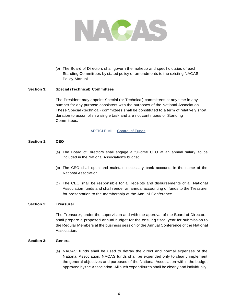

(b) The Board of Directors shall govern the makeup and specific duties of each Standing Committees by stated policy or amendments to the existing NACAS Policy Manual.

### **Section 3: Special (Technical) Committees**

The President may appoint Special (or Technical) committees at any time in any number for any purpose consistent with the purposes of the National Association. These Special (technical) committees shall be constituted to a term of relatively short duration to accomplish a single task and are not continuous or Standing Committees.

### ARTICLE VIII - Control of Funds

### **Section 1: CEO**

- (a) The Board of Directors shall engage a full-time CEO at an annual salary, to be included in the National Association's budget.
- (b) The CEO shall open and maintain necessary bank accounts in the name of the National Association.
- (c) The CEO shall be responsible for all receipts and disbursements of all National Association funds and shall render an annual accounting of funds to the Treasurer for presentation to the membership at the Annual Conference.

#### **Section 2: Treasurer**

The Treasurer, under the supervision and with the approval of the Board of Directors, shall prepare a proposed annual budget for the ensuing fiscal year for submission to the Regular Members at the business session of the Annual Conference of the National Association.

#### **Section 3: General**

(a) NACAS' funds shall be used to defray the direct and normal expenses of the National Association. NACAS funds shall be expended only to clearly implement the general objectives and purposes of the National Association within the budget approved by the Association. All such expenditures shall be clearly and individually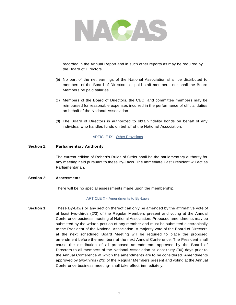

recorded in the Annual Report and in such other reports as may be required by the Board of Directors.

- (b) No part of the net earnings of the National Association shall be distributed to members of the Board of Directors, or paid staff members, nor shall the Board Members be paid salaries.
- (c) Members of the Board of Directors, the CEO, and committee members may be reimbursed for reasonable expenses incurred in the performance of official duties on behalf of the National Association.
- (d) The Board of Directors is authorized to obtain fidelity bonds on behalf of any individual who handles funds on behalf of the National Association.

### ARTICLE IX - Other Provisions

#### **Section 1: Parliamentary Authority**

The current edition of Robert's Rules of Order shall be the parliamentary authority for any meeting held pursuant to these By-Laws. The Immediate Past President will act as Parliamentarian.

#### **Section 2: Assessments**

There will be no special assessments made upon the membership.

### ARTICLE X - Amendments to By-Laws

**Section 1:** These By-Laws or any section thereof can only be amended by the affirmative vote of at least two-thirds (2/3) of the Regular Members present and voting at the Annual Conference business meeting of National Association. Proposed amendments may be submitted by the written petition of any member and must be submitted electronically to the President of the National Association. A majority vote of the Board of Directors at the next scheduled Board Meeting will be required to place the proposed amendment before the members at the next Annual Conference. The President shall cause the distribution of all proposed amendments approved by the Board of Directors to all members of the National Association at least thirty (30) days prior to the Annual Conference at which the amendments are to be considered. Amendments approved by two-thirds (2/3) of the Regular Members present and voting at the Annual Conference business meeting- shall take effect immediately.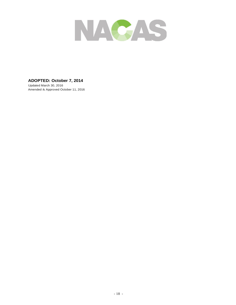

### **ADOPTED: October 7, 2014**

Updated March 30, 2016 Amended & Approved October 11, 2016